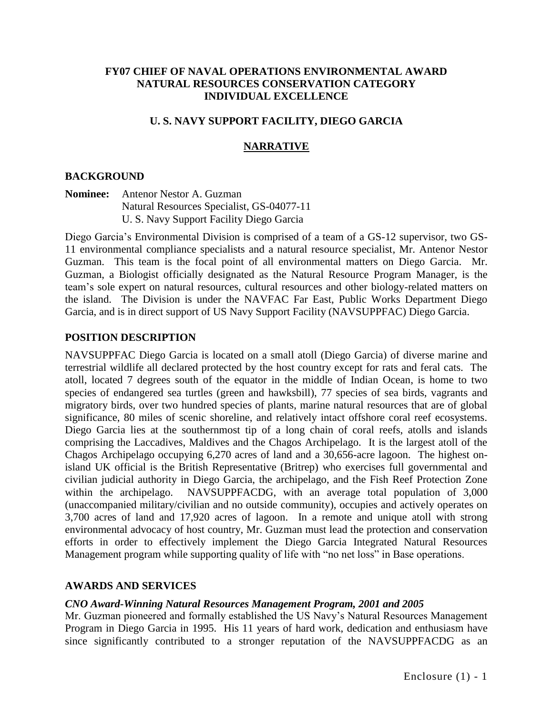### **FY07 CHIEF OF NAVAL OPERATIONS ENVIRONMENTAL AWARD NATURAL RESOURCES CONSERVATION CATEGORY INDIVIDUAL EXCELLENCE**

# **U. S. NAVY SUPPORT FACILITY, DIEGO GARCIA**

## **NARRATIVE**

#### **BACKGROUND**

#### **Nominee:** Antenor Nestor A. Guzman Natural Resources Specialist, GS-04077-11 U. S. Navy Support Facility Diego Garcia

Diego Garcia's Environmental Division is comprised of a team of a GS-12 supervisor, two GS-11 environmental compliance specialists and a natural resource specialist, Mr. Antenor Nestor Guzman. This team is the focal point of all environmental matters on Diego Garcia. Mr. Guzman, a Biologist officially designated as the Natural Resource Program Manager, is the team's sole expert on natural resources, cultural resources and other biology-related matters on the island. The Division is under the NAVFAC Far East, Public Works Department Diego Garcia, and is in direct support of US Navy Support Facility (NAVSUPPFAC) Diego Garcia.

#### **POSITION DESCRIPTION**

NAVSUPPFAC Diego Garcia is located on a small atoll (Diego Garcia) of diverse marine and terrestrial wildlife all declared protected by the host country except for rats and feral cats. The atoll, located 7 degrees south of the equator in the middle of Indian Ocean, is home to two species of endangered sea turtles (green and hawksbill), 77 species of sea birds, vagrants and migratory birds, over two hundred species of plants, marine natural resources that are of global significance, 80 miles of scenic shoreline, and relatively intact offshore coral reef ecosystems. Diego Garcia lies at the southernmost tip of a long chain of coral reefs, atolls and islands comprising the Laccadives, Maldives and the Chagos Archipelago. It is the largest atoll of the Chagos Archipelago occupying 6,270 acres of land and a 30,656-acre lagoon. The highest onisland UK official is the British Representative (Britrep) who exercises full governmental and civilian judicial authority in Diego Garcia, the archipelago, and the Fish Reef Protection Zone within the archipelago. NAVSUPPFACDG, with an average total population of 3,000 (unaccompanied military/civilian and no outside community), occupies and actively operates on 3,700 acres of land and 17,920 acres of lagoon. In a remote and unique atoll with strong environmental advocacy of host country, Mr. Guzman must lead the protection and conservation efforts in order to effectively implement the Diego Garcia Integrated Natural Resources Management program while supporting quality of life with "no net loss" in Base operations.

#### **AWARDS AND SERVICES**

#### *CNO Award-Winning Natural Resources Management Program, 2001 and 2005*

Mr. Guzman pioneered and formally established the US Navy's Natural Resources Management Program in Diego Garcia in 1995. His 11 years of hard work, dedication and enthusiasm have since significantly contributed to a stronger reputation of the NAVSUPPFACDG as an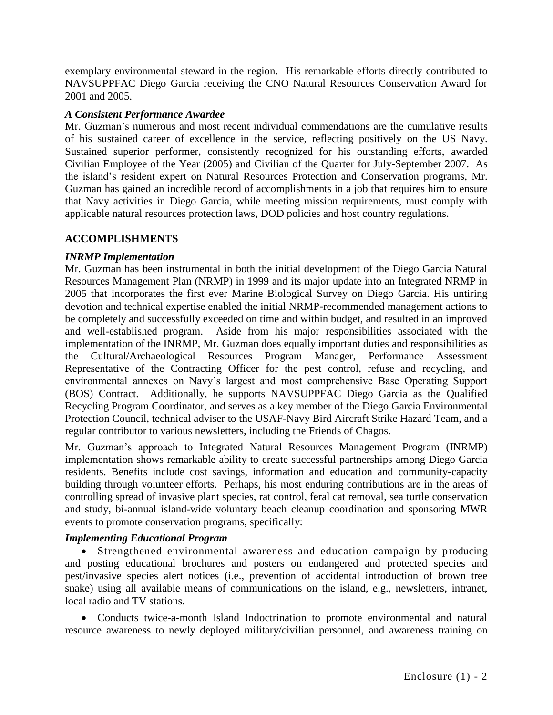exemplary environmental steward in the region. His remarkable efforts directly contributed to NAVSUPPFAC Diego Garcia receiving the CNO Natural Resources Conservation Award for 2001 and 2005.

# *A Consistent Performance Awardee*

Mr. Guzman's numerous and most recent individual commendations are the cumulative results of his sustained career of excellence in the service, reflecting positively on the US Navy. Sustained superior performer, consistently recognized for his outstanding efforts, awarded Civilian Employee of the Year (2005) and Civilian of the Quarter for July-September 2007. As the island's resident expert on Natural Resources Protection and Conservation programs, Mr. Guzman has gained an incredible record of accomplishments in a job that requires him to ensure that Navy activities in Diego Garcia, while meeting mission requirements, must comply with applicable natural resources protection laws, DOD policies and host country regulations.

### **ACCOMPLISHMENTS**

# *INRMP Implementation*

Mr. Guzman has been instrumental in both the initial development of the Diego Garcia Natural Resources Management Plan (NRMP) in 1999 and its major update into an Integrated NRMP in 2005 that incorporates the first ever Marine Biological Survey on Diego Garcia. His untiring devotion and technical expertise enabled the initial NRMP-recommended management actions to be completely and successfully exceeded on time and within budget, and resulted in an improved and well-established program. Aside from his major responsibilities associated with the implementation of the INRMP, Mr. Guzman does equally important duties and responsibilities as the Cultural/Archaeological Resources Program Manager, Performance Assessment Representative of the Contracting Officer for the pest control, refuse and recycling, and environmental annexes on Navy's largest and most comprehensive Base Operating Support (BOS) Contract. Additionally, he supports NAVSUPPFAC Diego Garcia as the Qualified Recycling Program Coordinator, and serves as a key member of the Diego Garcia Environmental Protection Council, technical adviser to the USAF-Navy Bird Aircraft Strike Hazard Team, and a regular contributor to various newsletters, including the Friends of Chagos.

Mr. Guzman's approach to Integrated Natural Resources Management Program (INRMP) implementation shows remarkable ability to create successful partnerships among Diego Garcia residents. Benefits include cost savings, information and education and community-capacity building through volunteer efforts. Perhaps, his most enduring contributions are in the areas of controlling spread of invasive plant species, rat control, feral cat removal, sea turtle conservation and study, bi-annual island-wide voluntary beach cleanup coordination and sponsoring MWR events to promote conservation programs, specifically:

# *Implementing Educational Program*

 Strengthened environmental awareness and education campaign by producing and posting educational brochures and posters on endangered and protected species and pest/invasive species alert notices (i.e., prevention of accidental introduction of brown tree snake) using all available means of communications on the island, e.g., newsletters, intranet, local radio and TV stations.

 Conducts twice-a-month Island Indoctrination to promote environmental and natural resource awareness to newly deployed military/civilian personnel, and awareness training on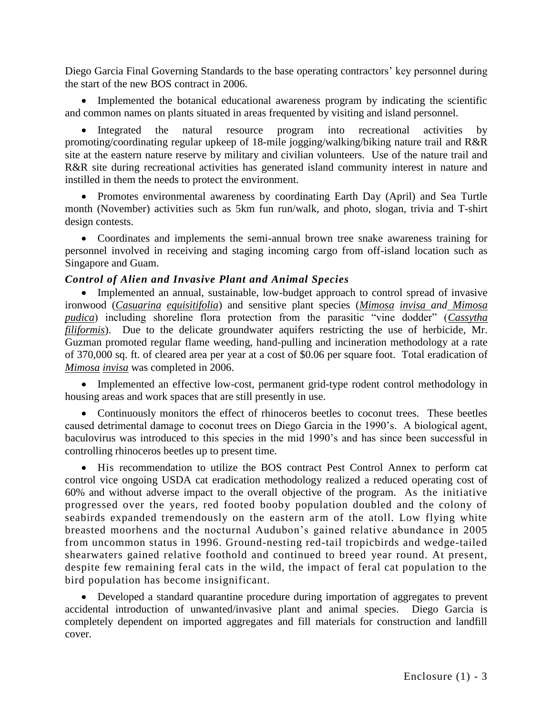Diego Garcia Final Governing Standards to the base operating contractors' key personnel during the start of the new BOS contract in 2006.

• Implemented the botanical educational awareness program by indicating the scientific and common names on plants situated in areas frequented by visiting and island personnel.

• Integrated the natural resource program into recreational activities by promoting/coordinating regular upkeep of 18-mile jogging/walking/biking nature trail and R&R site at the eastern nature reserve by military and civilian volunteers. Use of the nature trail and R&R site during recreational activities has generated island community interest in nature and instilled in them the needs to protect the environment.

 Promotes environmental awareness by coordinating Earth Day (April) and Sea Turtle month (November) activities such as 5km fun run/walk, and photo, slogan, trivia and T-shirt design contests.

 Coordinates and implements the semi-annual brown tree snake awareness training for personnel involved in receiving and staging incoming cargo from off-island location such as Singapore and Guam.

# *Control of Alien and Invasive Plant and Animal Species*

• Implemented an annual, sustainable, low-budget approach to control spread of invasive ironwood (*Casuarina equisitifolia*) and sensitive plant species (*Mimosa invisa and Mimosa pudica*) including shoreline flora protection from the parasitic "vine dodder" (*Cassytha filiformis*). Due to the delicate groundwater aquifers restricting the use of herbicide, Mr. Guzman promoted regular flame weeding, hand-pulling and incineration methodology at a rate of 370,000 sq. ft. of cleared area per year at a cost of \$0.06 per square foot. Total eradication of *Mimosa invisa* was completed in 2006.

 Implemented an effective low-cost, permanent grid-type rodent control methodology in housing areas and work spaces that are still presently in use.

• Continuously monitors the effect of rhinoceros beetles to coconut trees. These beetles caused detrimental damage to coconut trees on Diego Garcia in the 1990's. A biological agent, baculovirus was introduced to this species in the mid 1990's and has since been successful in controlling rhinoceros beetles up to present time.

 His recommendation to utilize the BOS contract Pest Control Annex to perform cat control vice ongoing USDA cat eradication methodology realized a reduced operating cost of 60% and without adverse impact to the overall objective of the program.As the initiative progressed over the years, red footed booby population doubled and the colony of seabirds expanded tremendously on the eastern arm of the atoll. Low flying white breasted moorhens and the nocturnal Audubon's gained relative abundance in 2005 from uncommon status in 1996. Ground-nesting red-tail tropicbirds and wedge-tailed shearwaters gained relative foothold and continued to breed year round. At present, despite few remaining feral cats in the wild, the impact of feral cat population to the bird population has become insignificant.

 Developed a standard quarantine procedure during importation of aggregates to prevent accidental introduction of unwanted/invasive plant and animal species. Diego Garcia is completely dependent on imported aggregates and fill materials for construction and landfill cover.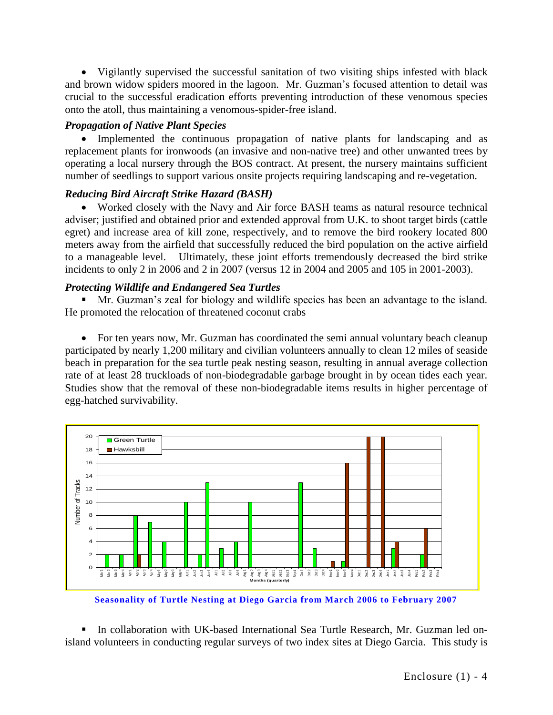Vigilantly supervised the successful sanitation of two visiting ships infested with black and brown widow spiders moored in the lagoon. Mr. Guzman's focused attention to detail was crucial to the successful eradication efforts preventing introduction of these venomous species onto the atoll, thus maintaining a venomous-spider-free island.

## *Propagation of Native Plant Species*

• Implemented the continuous propagation of native plants for landscaping and as replacement plants for ironwoods (an invasive and non-native tree) and other unwanted trees by operating a local nursery through the BOS contract. At present, the nursery maintains sufficient number of seedlings to support various onsite projects requiring landscaping and re-vegetation.

### *Reducing Bird Aircraft Strike Hazard (BASH)*

 Worked closely with the Navy and Air force BASH teams as natural resource technical adviser; justified and obtained prior and extended approval from U.K. to shoot target birds (cattle egret) and increase area of kill zone, respectively, and to remove the bird rookery located 800 meters away from the airfield that successfully reduced the bird population on the active airfield to a manageable level. Ultimately, these joint efforts tremendously decreased the bird strike incidents to only 2 in 2006 and 2 in 2007 (versus 12 in 2004 and 2005 and 105 in 2001-2003).

### *Protecting Wildlife and Endangered Sea Turtles*

 Mr. Guzman's zeal for biology and wildlife species has been an advantage to the island. He promoted the relocation of threatened coconut crabs

• For ten years now, Mr. Guzman has coordinated the semi annual voluntary beach cleanup participated by nearly 1,200 military and civilian volunteers annually to clean 12 miles of seaside beach in preparation for the sea turtle peak nesting season, resulting in annual average collection rate of at least 28 truckloads of non-biodegradable garbage brought in by ocean tides each year. Studies show that the removal of these non-biodegradable items results in higher percentage of egg-hatched survivability.



**Seasonality of Turtle Nesting at Diego Garcia from March 2006 to February 2007**

 In collaboration with UK-based International Sea Turtle Research, Mr. Guzman led onisland volunteers in conducting regular surveys of two index sites at Diego Garcia. This study is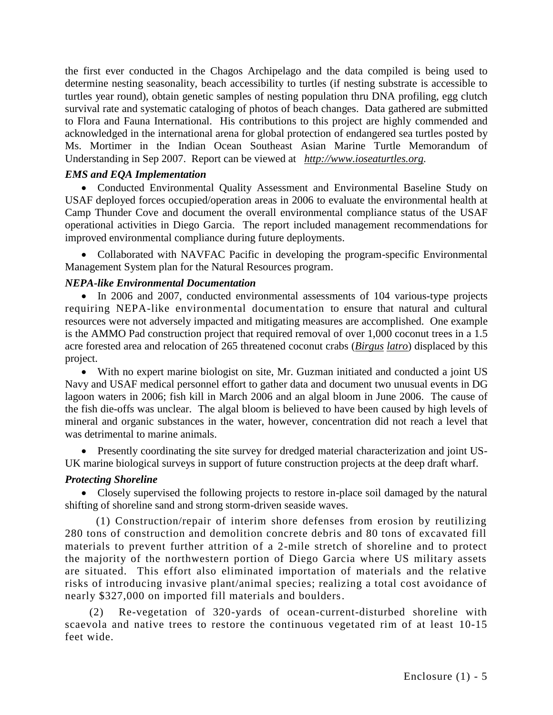the first ever conducted in the Chagos Archipelago and the data compiled is being used to determine nesting seasonality, beach accessibility to turtles (if nesting substrate is accessible to turtles year round), obtain genetic samples of nesting population thru DNA profiling, egg clutch survival rate and systematic cataloging of photos of beach changes. Data gathered are submitted to Flora and Fauna International. His contributions to this project are highly commended and acknowledged in the international arena for global protection of endangered sea turtles posted by Ms. Mortimer in the Indian Ocean Southeast Asian Marine Turtle Memorandum of Understanding in Sep 2007. Report can be viewed at *[http://www.ioseaturtles.org.](http://www.ioseaturtles.org/)*

## *EMS and EQA Implementation*

 Conducted Environmental Quality Assessment and Environmental Baseline Study on USAF deployed forces occupied/operation areas in 2006 to evaluate the environmental health at Camp Thunder Cove and document the overall environmental compliance status of the USAF operational activities in Diego Garcia. The report included management recommendations for improved environmental compliance during future deployments.

 Collaborated with NAVFAC Pacific in developing the program-specific Environmental Management System plan for the Natural Resources program.

#### *NEPA-like Environmental Documentation*

• In 2006 and 2007, conducted environmental assessments of 104 various-type projects requiring NEPA-like environmental documentation to ensure that natural and cultural resources were not adversely impacted and mitigating measures are accomplished. One example is the AMMO Pad construction project that required removal of over 1,000 coconut trees in a 1.5 acre forested area and relocation of 265 threatened coconut crabs (*Birgus latro*) displaced by this project.

 With no expert marine biologist on site, Mr. Guzman initiated and conducted a joint US Navy and USAF medical personnel effort to gather data and document two unusual events in DG lagoon waters in 2006; fish kill in March 2006 and an algal bloom in June 2006. The cause of the fish die-offs was unclear. The algal bloom is believed to have been caused by high levels of mineral and organic substances in the water, however, concentration did not reach a level that was detrimental to marine animals.

 Presently coordinating the site survey for dredged material characterization and joint US-UK marine biological surveys in support of future construction projects at the deep draft wharf.

#### *Protecting Shoreline*

 Closely supervised the following projects to restore in-place soil damaged by the natural shifting of shoreline sand and strong storm-driven seaside waves.

 (1) Construction/repair of interim shore defenses from erosion by reutilizing 280 tons of construction and demolition concrete debris and 80 tons of excavated fill materials to prevent further attrition of a 2-mile stretch of shoreline and to protect the majority of the northwestern portion of Diego Garcia where US military assets are situated. This effort also eliminated importation of materials and the relative risks of introducing invasive plant/animal species; realizing a total cost avoidance of nearly \$327,000 on imported fill materials and boulders.

Re-vegetation of 320-yards of ocean-current-disturbed shoreline with scaevola and native trees to restore the continuous vegetated rim of at least 10-15 feet wide.